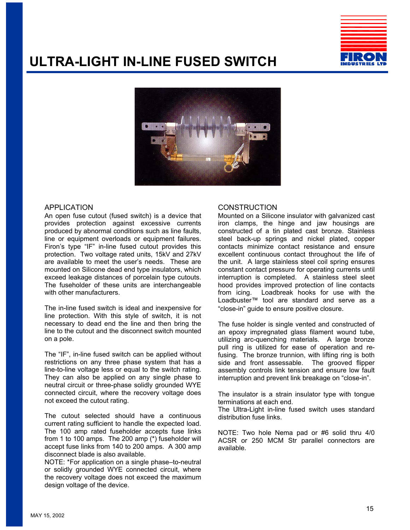## **ULTRA-LIGHT IN-LINE FUSED SWITCH**





#### APPLICATION

An open fuse cutout (fused switch) is a device that provides protection against excessive currents produced by abnormal conditions such as line faults, line or equipment overloads or equipment failures. Firon's type "IF" in-line fused cutout provides this protection. Two voltage rated units, 15kV and 27kV are available to meet the user's needs. These are mounted on Silicone dead end type insulators, which exceed leakage distances of porcelain type cutouts. The fuseholder of these units are interchangeable with other manufacturers.

The in-line fused switch is ideal and inexpensive for line protection. With this style of switch, it is not necessary to dead end the line and then bring the line to the cutout and the disconnect switch mounted on a pole.

The "IF", in-line fused switch can be applied without restrictions on any three phase system that has a line-to-line voltage less or equal to the switch rating. They can also be applied on any single phase to neutral circuit or three-phase solidly grounded WYE connected circuit, where the recovery voltage does not exceed the cutout rating.

The cutout selected should have a continuous current rating sufficient to handle the expected load. The 100 amp rated fuseholder accepts fuse links from 1 to 100 amps. The 200 amp (\*) fuseholder will accept fuse links from 140 to 200 amps. A 300 amp disconnect blade is also available.

NOTE: \*For application on a single phase–to-neutral or solidly grounded WYE connected circuit, where the recovery voltage does not exceed the maximum design voltage of the device.

#### **CONSTRUCTION**

Mounted on a Silicone insulator with galvanized cast iron clamps, the hinge and jaw housings are constructed of a tin plated cast bronze. Stainless steel back-up springs and nickel plated, copper contacts minimize contact resistance and ensure excellent continuous contact throughout the life of the unit. A large stainless steel coil spring ensures constant contact pressure for operating currents until interruption is completed. A stainless steel sleet hood provides improved protection of line contacts from icing. Loadbreak hooks for use with the Loadbuster™ tool are standard and serve as a "close-in" guide to ensure positive closure.

The fuse holder is single vented and constructed of an epoxy impregnated glass filament wound tube, utilizing arc-quenching materials. A large bronze pull ring is utilized for ease of operation and refusing. The bronze trunnion, with lifting ring is both side and front assessable. The grooved flipper assembly controls link tension and ensure low fault interruption and prevent link breakage on "close-in".

The insulator is a strain insulator type with tongue terminations at each end.

The Ultra-Light in-line fused switch uses standard distribution fuse links.

NOTE: Two hole Nema pad or #6 solid thru 4/0 ACSR or 250 MCM Str parallel connectors are available.